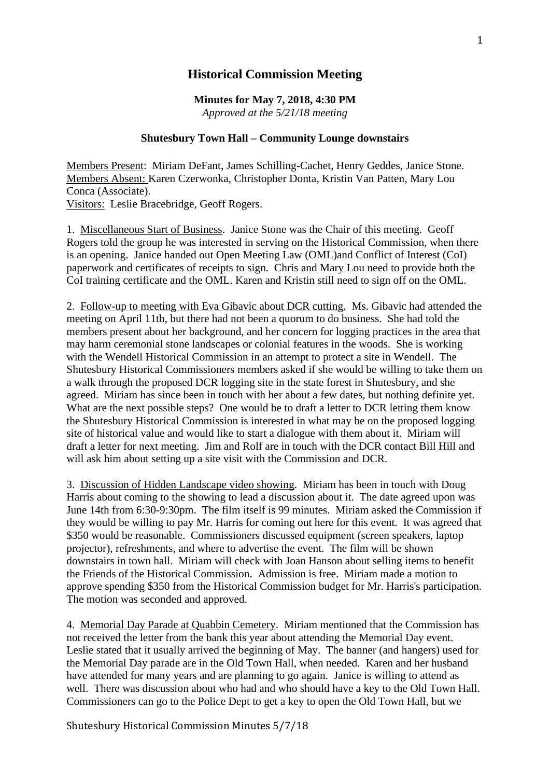## **Historical Commission Meeting**

**Minutes for May 7, 2018, 4:30 PM** *Approved at the 5/21/18 meeting*

## **Shutesbury Town Hall – Community Lounge downstairs**

Members Present: Miriam DeFant, James Schilling-Cachet, Henry Geddes, Janice Stone. Members Absent: Karen Czerwonka, Christopher Donta, Kristin Van Patten, Mary Lou Conca (Associate). Visitors: Leslie Bracebridge, Geoff Rogers.

1. Miscellaneous Start of Business. Janice Stone was the Chair of this meeting. Geoff Rogers told the group he was interested in serving on the Historical Commission, when there is an opening. Janice handed out Open Meeting Law (OML)and Conflict of Interest (CoI) paperwork and certificates of receipts to sign. Chris and Mary Lou need to provide both the CoI training certificate and the OML. Karen and Kristin still need to sign off on the OML.

2. Follow-up to meeting with Eva Gibavic about DCR cutting. Ms. Gibavic had attended the meeting on April 11th, but there had not been a quorum to do business. She had told the members present about her background, and her concern for logging practices in the area that may harm ceremonial stone landscapes or colonial features in the woods. She is working with the Wendell Historical Commission in an attempt to protect a site in Wendell. The Shutesbury Historical Commissioners members asked if she would be willing to take them on a walk through the proposed DCR logging site in the state forest in Shutesbury, and she agreed. Miriam has since been in touch with her about a few dates, but nothing definite yet. What are the next possible steps? One would be to draft a letter to DCR letting them know the Shutesbury Historical Commission is interested in what may be on the proposed logging site of historical value and would like to start a dialogue with them about it. Miriam will draft a letter for next meeting. Jim and Rolf are in touch with the DCR contact Bill Hill and will ask him about setting up a site visit with the Commission and DCR.

3. Discussion of Hidden Landscape video showing. Miriam has been in touch with Doug Harris about coming to the showing to lead a discussion about it. The date agreed upon was June 14th from 6:30-9:30pm. The film itself is 99 minutes. Miriam asked the Commission if they would be willing to pay Mr. Harris for coming out here for this event. It was agreed that \$350 would be reasonable. Commissioners discussed equipment (screen speakers, laptop projector), refreshments, and where to advertise the event. The film will be shown downstairs in town hall. Miriam will check with Joan Hanson about selling items to benefit the Friends of the Historical Commission. Admission is free. Miriam made a motion to approve spending \$350 from the Historical Commission budget for Mr. Harris's participation. The motion was seconded and approved.

4. Memorial Day Parade at Quabbin Cemetery. Miriam mentioned that the Commission has not received the letter from the bank this year about attending the Memorial Day event. Leslie stated that it usually arrived the beginning of May. The banner (and hangers) used for the Memorial Day parade are in the Old Town Hall, when needed. Karen and her husband have attended for many years and are planning to go again. Janice is willing to attend as well. There was discussion about who had and who should have a key to the Old Town Hall. Commissioners can go to the Police Dept to get a key to open the Old Town Hall, but we

Shutesbury Historical Commission Minutes 5/7/18